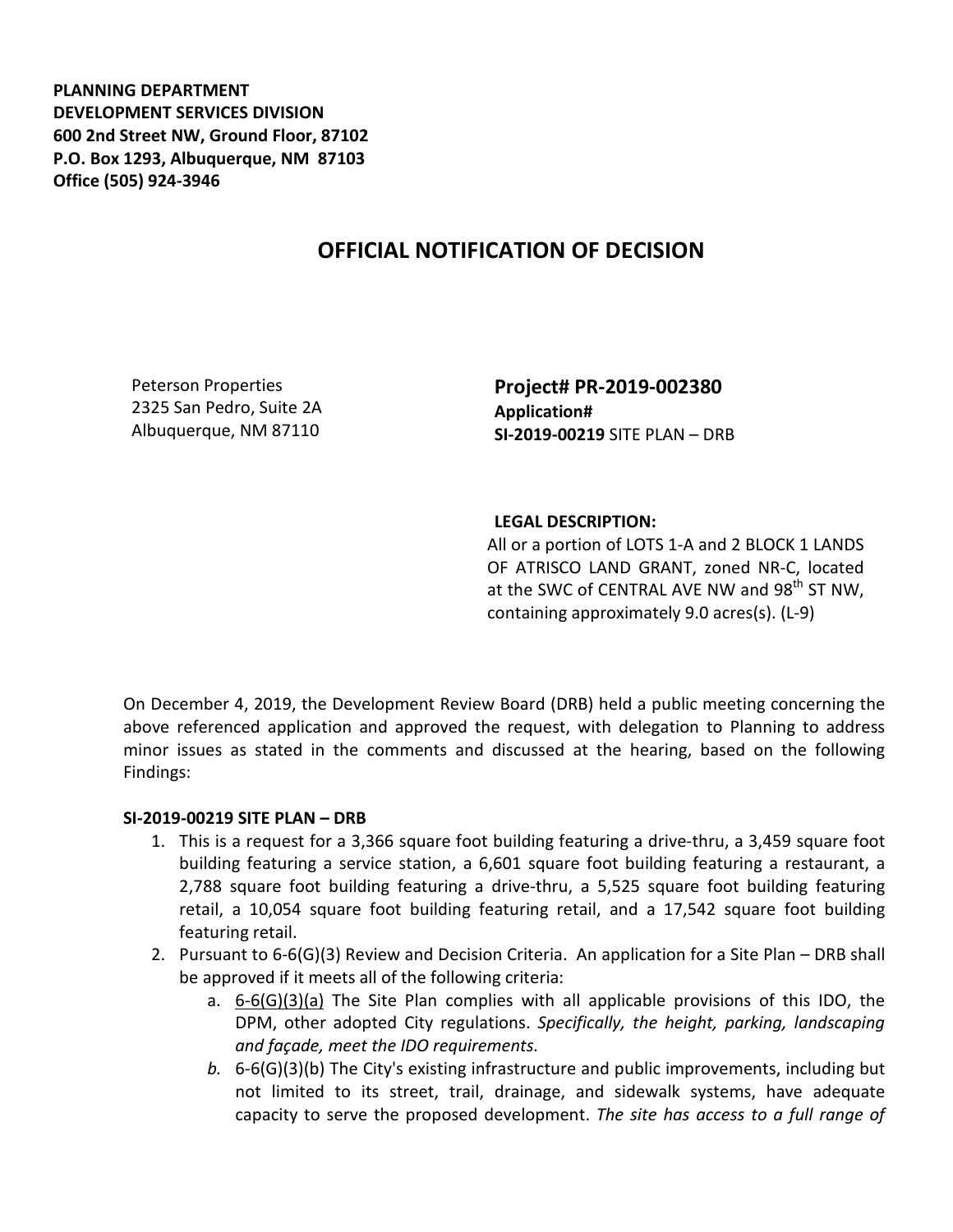**PLANNING DEPARTMENT DEVELOPMENT SERVICES DIVISION 600 2nd Street NW, Ground Floor, 87102 P.O. Box 1293, Albuquerque, NM 87103 Office (505) 924-3946** 

## **OFFICIAL NOTIFICATION OF DECISION**

Peterson Properties 2325 San Pedro, Suite 2A Albuquerque, NM 87110

**Project# PR-2019-002380 Application# SI-2019-00219** SITE PLAN – DRB

## **LEGAL DESCRIPTION:**

All or a portion of LOTS 1-A and 2 BLOCK 1 LANDS OF ATRISCO LAND GRANT, zoned NR-C, located at the SWC of CENTRAL AVE NW and 98<sup>th</sup> ST NW, containing approximately 9.0 acres(s). (L-9)

On December 4, 2019, the Development Review Board (DRB) held a public meeting concerning the above referenced application and approved the request, with delegation to Planning to address minor issues as stated in the comments and discussed at the hearing, based on the following Findings:

## **SI-2019-00219 SITE PLAN – DRB**

- 1. This is a request for a 3,366 square foot building featuring a drive-thru, a 3,459 square foot building featuring a service station, a 6,601 square foot building featuring a restaurant, a 2,788 square foot building featuring a drive-thru, a 5,525 square foot building featuring retail, a 10,054 square foot building featuring retail, and a 17,542 square foot building featuring retail.
- 2. Pursuant to 6-6(G)(3) Review and Decision Criteria. An application for a Site Plan DRB shall be approved if it meets all of the following criteria:
	- a.  $6-6(G)(3)(a)$  The Site Plan complies with all applicable provisions of this IDO, the DPM, other adopted City regulations. *Specifically, the height, parking, landscaping and façade, meet the IDO requirements.*
	- *b.* 6-6(G)(3)(b) The City's existing infrastructure and public improvements, including but not limited to its street, trail, drainage, and sidewalk systems, have adequate capacity to serve the proposed development. *The site has access to a full range of*